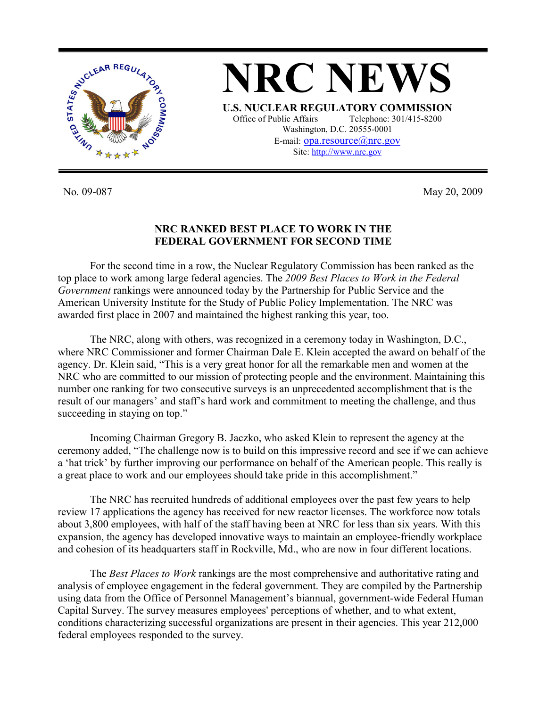

**NRC NEWS U.S. NUCLEAR REGULATORY COMMISSION** Office of Public Affairs Telephone: 301/415-8200 Washington, D.C. 20555-0001 E-mail: opa.resource@nrc.gov Site: http://www.nrc.gov

No. 09-087 May 20, 2009

## **NRC RANKED BEST PLACE TO WORK IN THE FEDERAL GOVERNMENT FOR SECOND TIME**

 For the second time in a row, the Nuclear Regulatory Commission has been ranked as the top place to work among large federal agencies. The *2009 Best Places to Work in the Federal Government* rankings were announced today by the Partnership for Public Service and the American University Institute for the Study of Public Policy Implementation. The NRC was awarded first place in 2007 and maintained the highest ranking this year, too.

 The NRC, along with others, was recognized in a ceremony today in Washington, D.C., where NRC Commissioner and former Chairman Dale E. Klein accepted the award on behalf of the agency. Dr. Klein said, "This is a very great honor for all the remarkable men and women at the NRC who are committed to our mission of protecting people and the environment. Maintaining this number one ranking for two consecutive surveys is an unprecedented accomplishment that is the result of our managers' and staff's hard work and commitment to meeting the challenge, and thus succeeding in staying on top."

 Incoming Chairman Gregory B. Jaczko, who asked Klein to represent the agency at the ceremony added, "The challenge now is to build on this impressive record and see if we can achieve a 'hat trick' by further improving our performance on behalf of the American people. This really is a great place to work and our employees should take pride in this accomplishment."

 The NRC has recruited hundreds of additional employees over the past few years to help review 17 applications the agency has received for new reactor licenses. The workforce now totals about 3,800 employees, with half of the staff having been at NRC for less than six years. With this expansion, the agency has developed innovative ways to maintain an employee-friendly workplace and cohesion of its headquarters staff in Rockville, Md., who are now in four different locations.

The *Best Places to Work* rankings are the most comprehensive and authoritative rating and analysis of employee engagement in the federal government. They are compiled by the Partnership using data from the Office of Personnel Management's biannual, government-wide Federal Human Capital Survey. The survey measures employees' perceptions of whether, and to what extent, conditions characterizing successful organizations are present in their agencies. This year 212,000 federal employees responded to the survey.